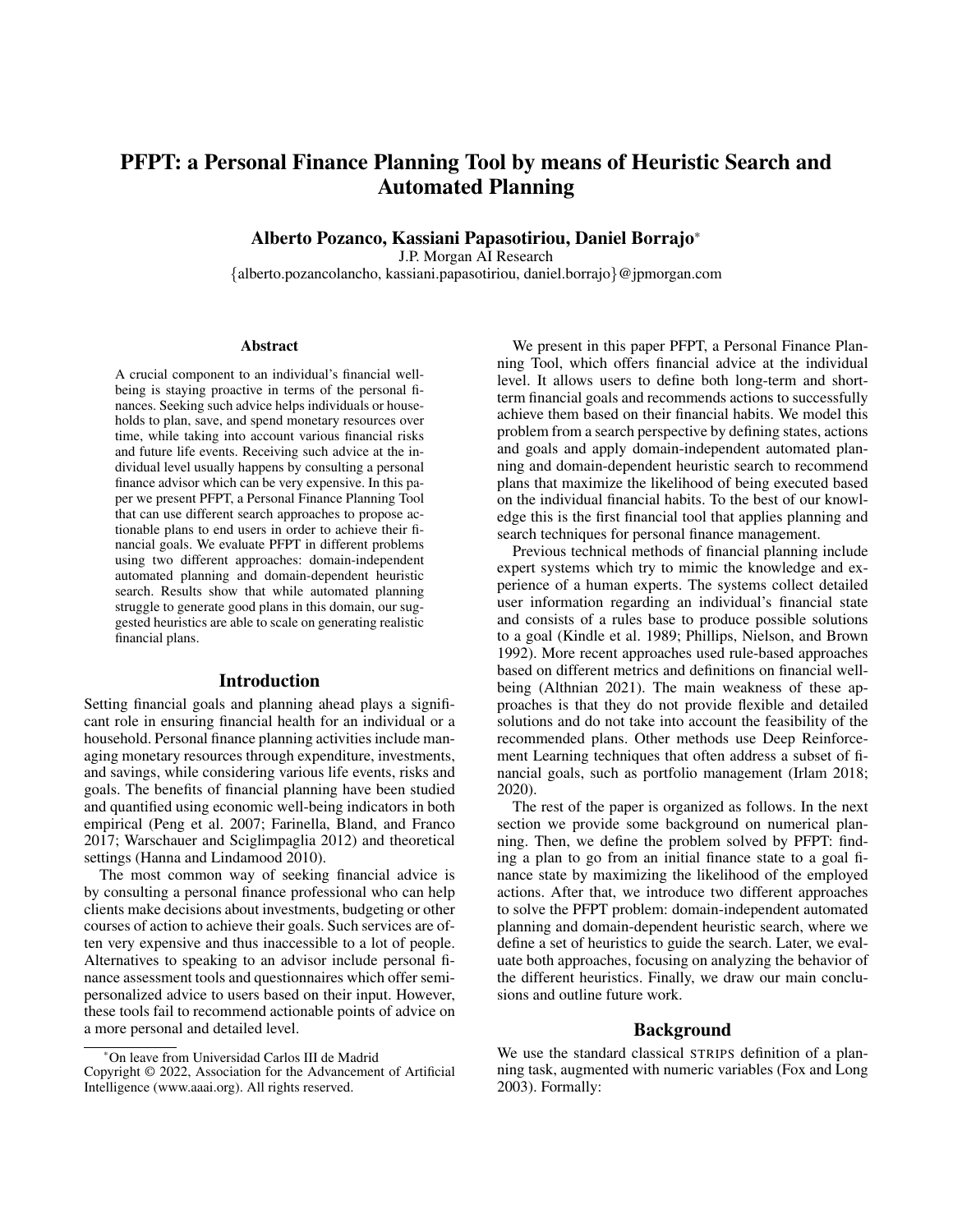# PFPT: a Personal Finance Planning Tool by means of Heuristic Search and Automated Planning

Alberto Pozanco, Kassiani Papasotiriou, Daniel Borrajo\*

J.P. Morgan AI Research

{alberto.pozancolancho, kassiani.papasotiriou, daniel.borrajo}@jpmorgan.com

#### **Abstract**

A crucial component to an individual's financial wellbeing is staying proactive in terms of the personal finances. Seeking such advice helps individuals or households to plan, save, and spend monetary resources over time, while taking into account various financial risks and future life events. Receiving such advice at the individual level usually happens by consulting a personal finance advisor which can be very expensive. In this paper we present PFPT, a Personal Finance Planning Tool that can use different search approaches to propose actionable plans to end users in order to achieve their financial goals. We evaluate PFPT in different problems using two different approaches: domain-independent automated planning and domain-dependent heuristic search. Results show that while automated planning struggle to generate good plans in this domain, our suggested heuristics are able to scale on generating realistic financial plans.

#### Introduction

Setting financial goals and planning ahead plays a significant role in ensuring financial health for an individual or a household. Personal finance planning activities include managing monetary resources through expenditure, investments, and savings, while considering various life events, risks and goals. The benefits of financial planning have been studied and quantified using economic well-being indicators in both empirical (Peng et al. 2007; Farinella, Bland, and Franco 2017; Warschauer and Sciglimpaglia 2012) and theoretical settings (Hanna and Lindamood 2010).

The most common way of seeking financial advice is by consulting a personal finance professional who can help clients make decisions about investments, budgeting or other courses of action to achieve their goals. Such services are often very expensive and thus inaccessible to a lot of people. Alternatives to speaking to an advisor include personal finance assessment tools and questionnaires which offer semipersonalized advice to users based on their input. However, these tools fail to recommend actionable points of advice on a more personal and detailed level.

We present in this paper PFPT, a Personal Finance Planning Tool, which offers financial advice at the individual level. It allows users to define both long-term and shortterm financial goals and recommends actions to successfully achieve them based on their financial habits. We model this problem from a search perspective by defining states, actions and goals and apply domain-independent automated planning and domain-dependent heuristic search to recommend plans that maximize the likelihood of being executed based on the individual financial habits. To the best of our knowledge this is the first financial tool that applies planning and search techniques for personal finance management.

Previous technical methods of financial planning include expert systems which try to mimic the knowledge and experience of a human experts. The systems collect detailed user information regarding an individual's financial state and consists of a rules base to produce possible solutions to a goal (Kindle et al. 1989; Phillips, Nielson, and Brown 1992). More recent approaches used rule-based approaches based on different metrics and definitions on financial wellbeing (Althnian 2021). The main weakness of these approaches is that they do not provide flexible and detailed solutions and do not take into account the feasibility of the recommended plans. Other methods use Deep Reinforcement Learning techniques that often address a subset of financial goals, such as portfolio management (Irlam 2018; 2020).

The rest of the paper is organized as follows. In the next section we provide some background on numerical planning. Then, we define the problem solved by PFPT: finding a plan to go from an initial finance state to a goal finance state by maximizing the likelihood of the employed actions. After that, we introduce two different approaches to solve the PFPT problem: domain-independent automated planning and domain-dependent heuristic search, where we define a set of heuristics to guide the search. Later, we evaluate both approaches, focusing on analyzing the behavior of the different heuristics. Finally, we draw our main conclusions and outline future work.

# Background

We use the standard classical STRIPS definition of a planning task, augmented with numeric variables (Fox and Long 2003). Formally:

<sup>\*</sup>On leave from Universidad Carlos III de Madrid Copyright © 2022, Association for the Advancement of Artificial Intelligence (www.aaai.org). All rights reserved.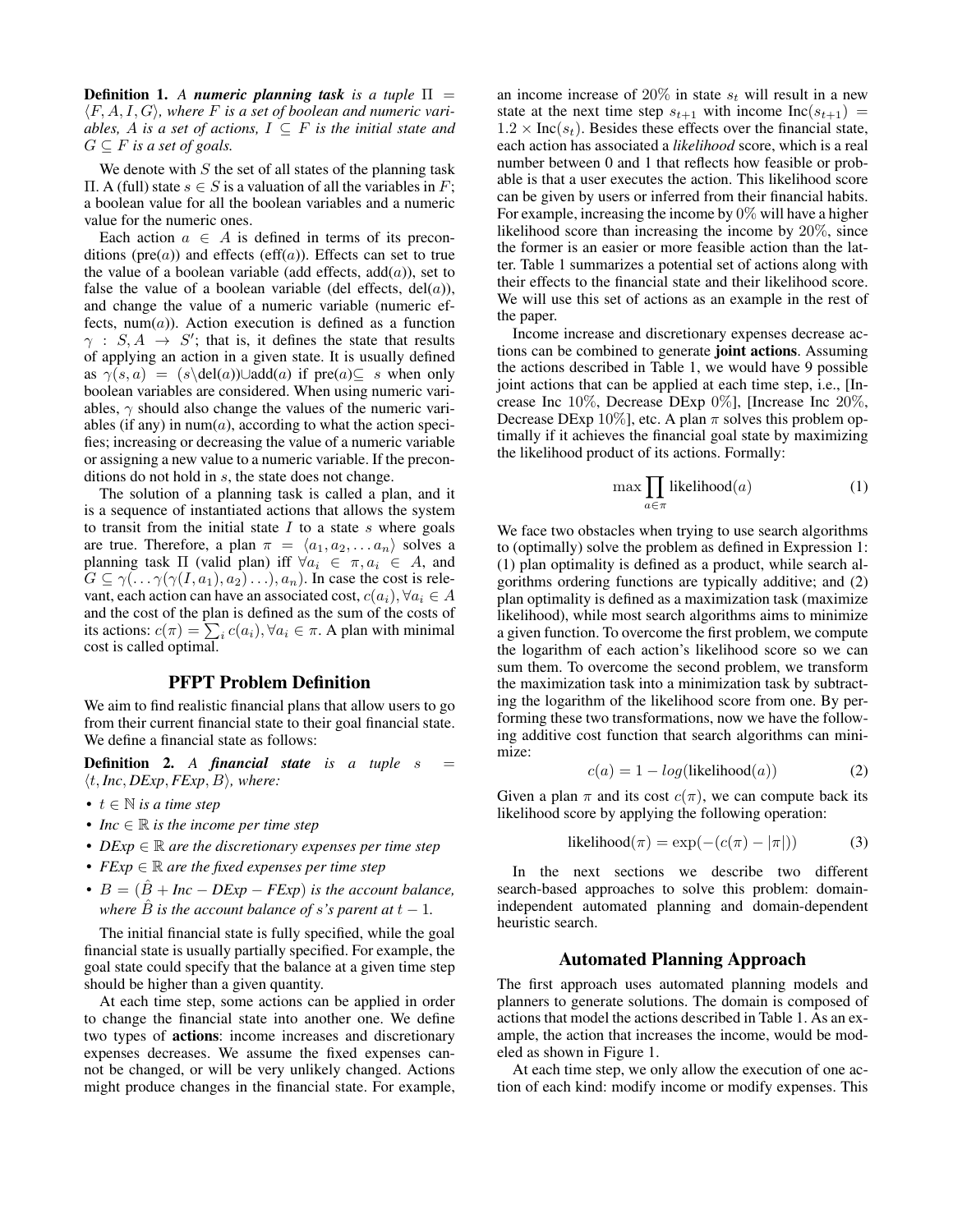**Definition 1.** A *numeric planning task is a tuple*  $\Pi$  = ⟨F, A, I, G⟩*, where* F *is a set of boolean and numeric variables,* A *is a set of actions,*  $I \subseteq F$  *is the initial state and*  $G \subseteq F$  *is a set of goals.* 

We denote with  $S$  the set of all states of the planning task  $\Pi$ . A (full) state *s* ∈ *S* is a valuation of all the variables in *F*; a boolean value for all the boolean variables and a numeric value for the numeric ones.

Each action  $a \in A$  is defined in terms of its preconditions ( $pre(a)$ ) and effects ( $eff(a)$ ). Effects can set to true the value of a boolean variable (add effects,  $add(a)$ ), set to false the value of a boolean variable (del effects,  $del(a)$ ), and change the value of a numeric variable (numeric effects,  $num(a)$ ). Action execution is defined as a function  $\gamma : S, A \rightarrow S'$ ; that is, it defines the state that results of applying an action in a given state. It is usually defined as  $\gamma(s, a) = (s \delta(a)) \cup \delta(a)$  if pre $(a) \subseteq s$  when only boolean variables are considered. When using numeric variables,  $\gamma$  should also change the values of the numeric variables (if any) in  $num(a)$ , according to what the action specifies; increasing or decreasing the value of a numeric variable or assigning a new value to a numeric variable. If the preconditions do not hold in s, the state does not change.

The solution of a planning task is called a plan, and it is a sequence of instantiated actions that allows the system to transit from the initial state  $I$  to a state  $s$  where goals are true. Therefore, a plan  $\pi = \langle a_1, a_2, \ldots a_n \rangle$  solves a planning task  $\Pi$  (valid plan) iff  $\forall a_i \in \pi, a_i \in A$ , and  $G \subseteq \gamma(\ldots \gamma(\gamma(I, a_1), a_2) \ldots), a_n$ ). In case the cost is relevant, each action can have an associated cost,  $c(a_i)$ ,  $\forall a_i \in A$ and the cost of the plan is defined as the sum of the costs of its actions:  $c(\pi) = \sum_i c(a_i), \forall a_i \in \pi$ . A plan with minimal cost is called optimal.

# PFPT Problem Definition

We aim to find realistic financial plans that allow users to go from their current financial state to their goal financial state. We define a financial state as follows:

**Definition 2.** A *financial state is a tuple s* =  $\langle t, Inc, DExp, FExp, B \rangle$ *, where:* 

- t ∈ N *is a time step*
- *Inc*  $\in \mathbb{R}$  *is the income per time step*
- *DExp* ∈ R *are the discretionary expenses per time step*
- *FExp* ∈ R *are the fixed expenses per time step*
- $B = (\hat{B} + Inc DExp FExp)$  *is the account balance, where*  $\hat{B}$  *is the account balance of s*'s parent at  $t - 1$ *.*

The initial financial state is fully specified, while the goal financial state is usually partially specified. For example, the goal state could specify that the balance at a given time step should be higher than a given quantity.

At each time step, some actions can be applied in order to change the financial state into another one. We define two types of actions: income increases and discretionary expenses decreases. We assume the fixed expenses cannot be changed, or will be very unlikely changed. Actions might produce changes in the financial state. For example,

an income increase of 20% in state  $s_t$  will result in a new state at the next time step  $s_{t+1}$  with income Inc( $s_{t+1}$ ) =  $1.2 \times \text{Inc}(s_t)$ . Besides these effects over the financial state, each action has associated a *likelihood* score, which is a real number between 0 and 1 that reflects how feasible or probable is that a user executes the action. This likelihood score can be given by users or inferred from their financial habits. For example, increasing the income by  $0\%$  will have a higher likelihood score than increasing the income by 20%, since the former is an easier or more feasible action than the latter. Table 1 summarizes a potential set of actions along with their effects to the financial state and their likelihood score. We will use this set of actions as an example in the rest of the paper.

Income increase and discretionary expenses decrease actions can be combined to generate joint actions. Assuming the actions described in Table 1, we would have 9 possible joint actions that can be applied at each time step, i.e., [Increase Inc 10%, Decrease DExp 0%], [Increase Inc 20%, Decrease DExp 10%], etc. A plan  $\pi$  solves this problem optimally if it achieves the financial goal state by maximizing the likelihood product of its actions. Formally:

$$
\max \prod_{a \in \pi} likelihood(a) \tag{1}
$$

We face two obstacles when trying to use search algorithms to (optimally) solve the problem as defined in Expression 1: (1) plan optimality is defined as a product, while search algorithms ordering functions are typically additive; and (2) plan optimality is defined as a maximization task (maximize likelihood), while most search algorithms aims to minimize a given function. To overcome the first problem, we compute the logarithm of each action's likelihood score so we can sum them. To overcome the second problem, we transform the maximization task into a minimization task by subtracting the logarithm of the likelihood score from one. By performing these two transformations, now we have the following additive cost function that search algorithms can minimize:

$$
c(a) = 1 - log(likelihood(a))
$$
 (2)

Given a plan  $\pi$  and its cost  $c(\pi)$ , we can compute back its likelihood score by applying the following operation:

$$
likelihood(\pi) = \exp(-(c(\pi) - |\pi|))
$$
 (3)

In the next sections we describe two different search-based approaches to solve this problem: domainindependent automated planning and domain-dependent heuristic search.

# Automated Planning Approach

The first approach uses automated planning models and planners to generate solutions. The domain is composed of actions that model the actions described in Table 1. As an example, the action that increases the income, would be modeled as shown in Figure 1.

At each time step, we only allow the execution of one action of each kind: modify income or modify expenses. This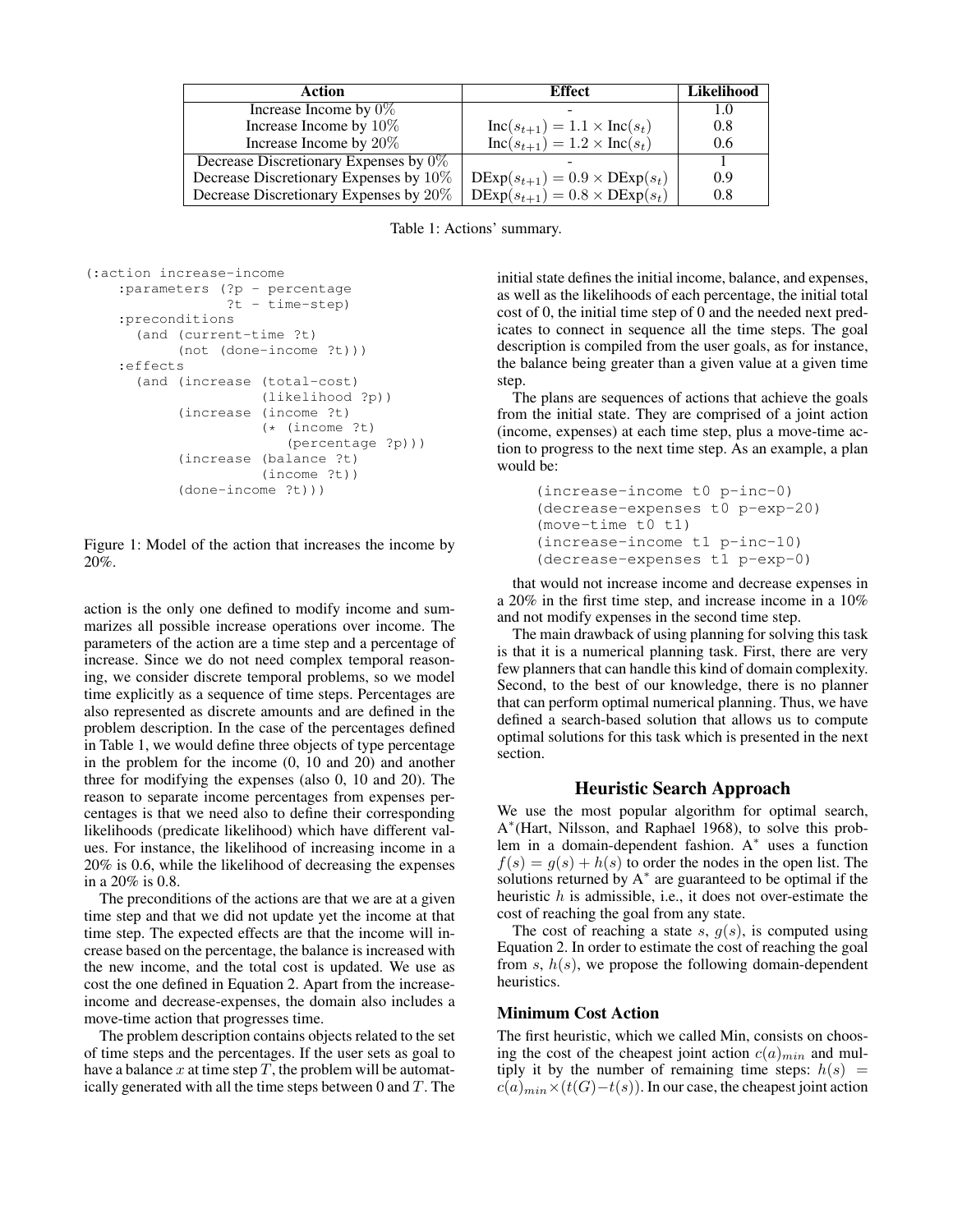| Action                                   | <b>Effect</b>                                        | <b>Likelihood</b> |
|------------------------------------------|------------------------------------------------------|-------------------|
| Increase Income by $0\%$                 |                                                      |                   |
| Increase Income by 10%                   | $Inc(s_{t+1}) = 1.1 \times Inc(s_t)$                 | 0.8               |
| Increase Income by 20%                   | $Inc(s_{t+1}) = 1.2 \times Inc(s_t)$                 | 0.6               |
| Decrease Discretionary Expenses by $0\%$ |                                                      |                   |
| Decrease Discretionary Expenses by 10%   | $\text{DExp}(s_{t+1}) = 0.9 \times \text{DExp}(s_t)$ | 0.9               |
| Decrease Discretionary Expenses by 20%   | $\text{DExp}(s_{t+1}) = 0.8 \times \text{DExp}(s_t)$ | 0.8               |

Table 1: Actions' summary.

```
(:action increase-income
   :parameters (?p - percentage
                 ?t - time-step)
    :preconditions
      (and (current-time ?t)
           (not (done-income ?t)))
    :effects
      (and (increase (total-cost)
                    (likelihood ?p))
           (increase (income ?t)
                     (* (income ?t)
                        (percentage ?p)))
           (increase (balance ?t)
                     (income ?t))
           (done-income ?t)))
```
Figure 1: Model of the action that increases the income by 20%.

action is the only one defined to modify income and summarizes all possible increase operations over income. The parameters of the action are a time step and a percentage of increase. Since we do not need complex temporal reasoning, we consider discrete temporal problems, so we model time explicitly as a sequence of time steps. Percentages are also represented as discrete amounts and are defined in the problem description. In the case of the percentages defined in Table 1, we would define three objects of type percentage in the problem for the income (0, 10 and 20) and another three for modifying the expenses (also 0, 10 and 20). The reason to separate income percentages from expenses percentages is that we need also to define their corresponding likelihoods (predicate likelihood) which have different values. For instance, the likelihood of increasing income in a 20% is 0.6, while the likelihood of decreasing the expenses in a 20% is 0.8.

The preconditions of the actions are that we are at a given time step and that we did not update yet the income at that time step. The expected effects are that the income will increase based on the percentage, the balance is increased with the new income, and the total cost is updated. We use as cost the one defined in Equation 2. Apart from the increaseincome and decrease-expenses, the domain also includes a move-time action that progresses time.

The problem description contains objects related to the set of time steps and the percentages. If the user sets as goal to have a balance  $x$  at time step  $T$ , the problem will be automatically generated with all the time steps between  $0$  and  $T$ . The initial state defines the initial income, balance, and expenses, as well as the likelihoods of each percentage, the initial total cost of 0, the initial time step of 0 and the needed next predicates to connect in sequence all the time steps. The goal description is compiled from the user goals, as for instance, the balance being greater than a given value at a given time step.

The plans are sequences of actions that achieve the goals from the initial state. They are comprised of a joint action (income, expenses) at each time step, plus a move-time action to progress to the next time step. As an example, a plan would be:

```
(increase-income t0 p-inc-0)
(decrease-expenses t0 p-exp-20)
(move-time t0 t1)
(increase-income t1 p-inc-10)
(decrease-expenses t1 p-exp-0)
```
that would not increase income and decrease expenses in a 20% in the first time step, and increase income in a 10% and not modify expenses in the second time step.

The main drawback of using planning for solving this task is that it is a numerical planning task. First, there are very few planners that can handle this kind of domain complexity. Second, to the best of our knowledge, there is no planner that can perform optimal numerical planning. Thus, we have defined a search-based solution that allows us to compute optimal solutions for this task which is presented in the next section.

# Heuristic Search Approach

We use the most popular algorithm for optimal search, A ∗ (Hart, Nilsson, and Raphael 1968), to solve this problem in a domain-dependent fashion. A<sup>∗</sup> uses a function  $f(s) = g(s) + h(s)$  to order the nodes in the open list. The solutions returned by A<sup>∗</sup> are guaranteed to be optimal if the heuristic  $h$  is admissible, i.e., it does not over-estimate the cost of reaching the goal from any state.

The cost of reaching a state s,  $g(s)$ , is computed using Equation 2. In order to estimate the cost of reaching the goal from  $s, h(s)$ , we propose the following domain-dependent heuristics.

# Minimum Cost Action

The first heuristic, which we called Min, consists on choosing the cost of the cheapest joint action  $c(a)_{min}$  and multiply it by the number of remaining time steps:  $h(s)$  =  $c(a)_{min} \times (t(G)-t(s))$ . In our case, the cheapest joint action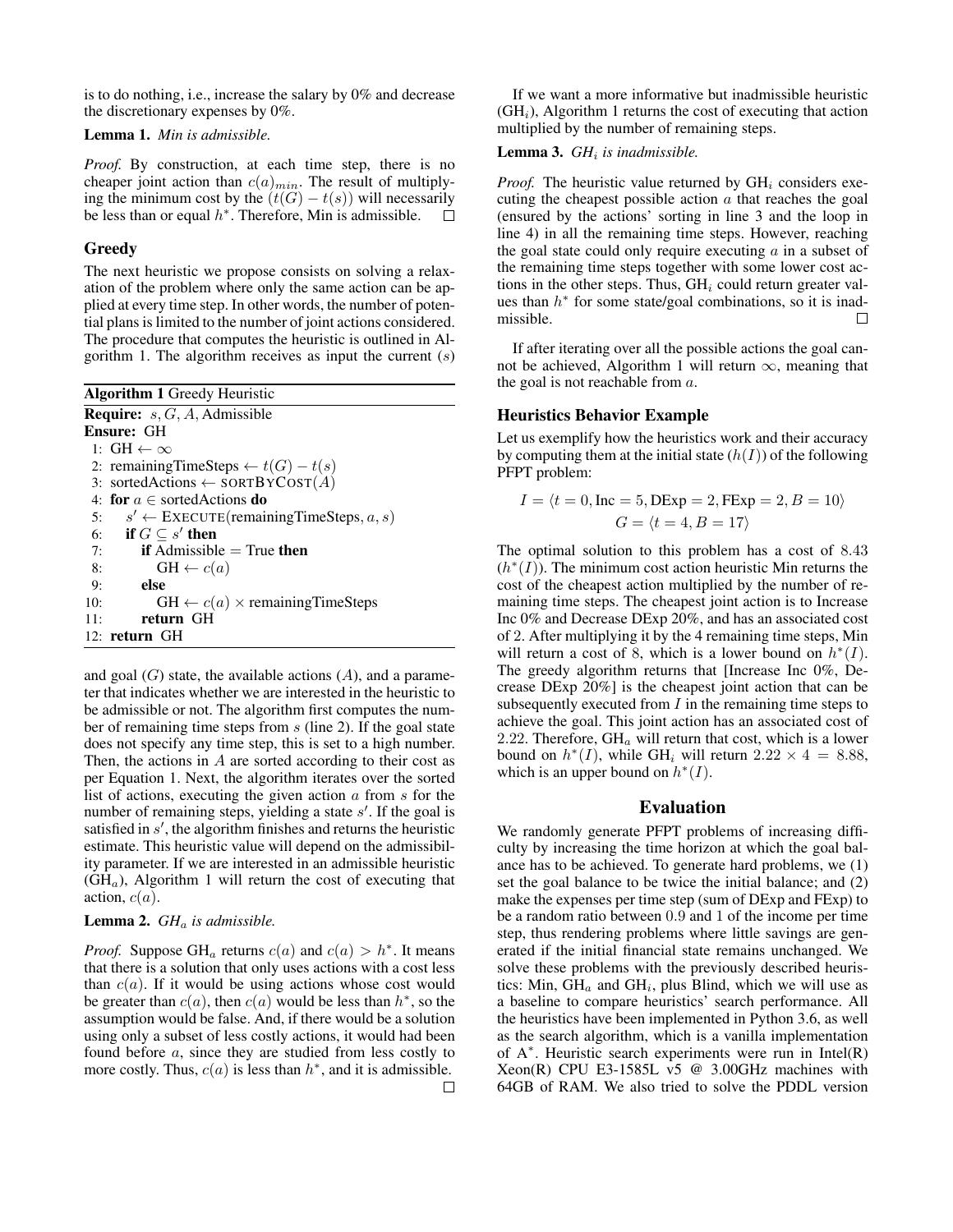is to do nothing, i.e., increase the salary by 0% and decrease the discretionary expenses by 0%.

Lemma 1. *Min is admissible.*

*Proof.* By construction, at each time step, there is no cheaper joint action than  $c(a)_{min}$ . The result of multiplying the minimum cost by the  $(t(G) - t(s))$  will necessarily be less than or equal  $h^*$ . Therefore, Min is admissible.  $\Box$ 

## Greedy

The next heuristic we propose consists on solving a relaxation of the problem where only the same action can be applied at every time step. In other words, the number of potential plans is limited to the number of joint actions considered. The procedure that computes the heuristic is outlined in Algorithm 1. The algorithm receives as input the current  $(s)$ 

| <b>Algorithm 1 Greedy Heuristic</b>                     |  |  |  |  |
|---------------------------------------------------------|--|--|--|--|
| <b>Require:</b> $s, G, A$ , Admissible                  |  |  |  |  |
| Ensure: GH                                              |  |  |  |  |
| 1: $GH \leftarrow \infty$                               |  |  |  |  |
| 2: remainingTimeSteps $\leftarrow t(G) - t(s)$          |  |  |  |  |
| 3: sortedActions $\leftarrow$ SORTBYCOST(A)             |  |  |  |  |
| 4: for $a \in$ sorted Actions do                        |  |  |  |  |
| 5: $s' \leftarrow$ EXECUTE (remaining Time Steps, a, s) |  |  |  |  |
| 6: if $G \subset s'$ then                               |  |  |  |  |
| <b>if</b> Admissible $=$ True <b>then</b><br>7:         |  |  |  |  |
| $GH \leftarrow c(a)$<br>8:                              |  |  |  |  |
| else<br>9:                                              |  |  |  |  |
| $GH \leftarrow c(a) \times remainingTimeSteps$<br>10:   |  |  |  |  |
| return GH<br>11:                                        |  |  |  |  |
| 12: return GH                                           |  |  |  |  |
|                                                         |  |  |  |  |

and goal  $(G)$  state, the available actions  $(A)$ , and a parameter that indicates whether we are interested in the heuristic to be admissible or not. The algorithm first computes the number of remaining time steps from s (line 2). If the goal state does not specify any time step, this is set to a high number. Then, the actions in  $A$  are sorted according to their cost as per Equation 1. Next, the algorithm iterates over the sorted list of actions, executing the given action  $a$  from  $s$  for the number of remaining steps, yielding a state  $s'$ . If the goal is satisfied in  $s'$ , the algorithm finishes and returns the heuristic estimate. This heuristic value will depend on the admissibility parameter. If we are interested in an admissible heuristic  $(GH<sub>a</sub>)$ , Algorithm 1 will return the cost of executing that action,  $c(a)$ .

#### Lemma 2. *GH*<sup>a</sup> *is admissible.*

*Proof.* Suppose  $GH_a$  returns  $c(a)$  and  $c(a) > h^*$ . It means that there is a solution that only uses actions with a cost less than  $c(a)$ . If it would be using actions whose cost would be greater than  $c(a)$ , then  $c(a)$  would be less than  $h^*$ , so the assumption would be false. And, if there would be a solution using only a subset of less costly actions, it would had been found before a, since they are studied from less costly to more costly. Thus,  $c(a)$  is less than  $h^*$ , and it is admissible.

If we want a more informative but inadmissible heuristic  $(GH<sub>i</sub>)$ , Algorithm 1 returns the cost of executing that action multiplied by the number of remaining steps.

Lemma 3. *GH*<sup>i</sup> *is inadmissible.*

*Proof.* The heuristic value returned by  $GH_i$  considers executing the cheapest possible action  $a$  that reaches the goal (ensured by the actions' sorting in line 3 and the loop in line 4) in all the remaining time steps. However, reaching the goal state could only require executing  $\alpha$  in a subset of the remaining time steps together with some lower cost actions in the other steps. Thus,  $GH_i$  could return greater values than  $h^*$  for some state/goal combinations, so it is inadmissible. П

If after iterating over all the possible actions the goal cannot be achieved, Algorithm 1 will return  $\infty$ , meaning that the goal is not reachable from  $a$ .

#### Heuristics Behavior Example

Let us exemplify how the heuristics work and their accuracy by computing them at the initial state  $(h(I))$  of the following PFPT problem:

$$
I = \langle t = 0, \text{Inc} = 5, \text{DExp} = 2, \text{FExp} = 2, B = 10 \rangle
$$
  

$$
G = \langle t = 4, B = 17 \rangle
$$

The optimal solution to this problem has a cost of 8.43  $(h^*(I))$ . The minimum cost action heuristic Min returns the cost of the cheapest action multiplied by the number of remaining time steps. The cheapest joint action is to Increase Inc 0% and Decrease DExp 20%, and has an associated cost of 2. After multiplying it by the 4 remaining time steps, Min will return a cost of 8, which is a lower bound on  $h^*(I)$ . The greedy algorithm returns that [Increase Inc 0%, Decrease DExp 20%] is the cheapest joint action that can be subsequently executed from  $I$  in the remaining time steps to achieve the goal. This joint action has an associated cost of 2.22. Therefore,  $GH_a$  will return that cost, which is a lower bound on  $h^*(I)$ , while GH<sub>i</sub> will return  $2.22 \times 4 = 8.88$ , which is an upper bound on  $h^*(I)$ .

#### Evaluation

We randomly generate PFPT problems of increasing difficulty by increasing the time horizon at which the goal balance has to be achieved. To generate hard problems, we (1) set the goal balance to be twice the initial balance; and (2) make the expenses per time step (sum of DExp and FExp) to be a random ratio between 0.9 and 1 of the income per time step, thus rendering problems where little savings are generated if the initial financial state remains unchanged. We solve these problems with the previously described heuristics: Min,  $GH_a$  and  $GH_i$ , plus Blind, which we will use as a baseline to compare heuristics' search performance. All the heuristics have been implemented in Python 3.6, as well as the search algorithm, which is a vanilla implementation of A<sup>∗</sup> . Heuristic search experiments were run in Intel(R) Xeon(R) CPU E3-1585L  $\overline{v}$ 5 @ 3.00GHz machines with 64GB of RAM. We also tried to solve the PDDL version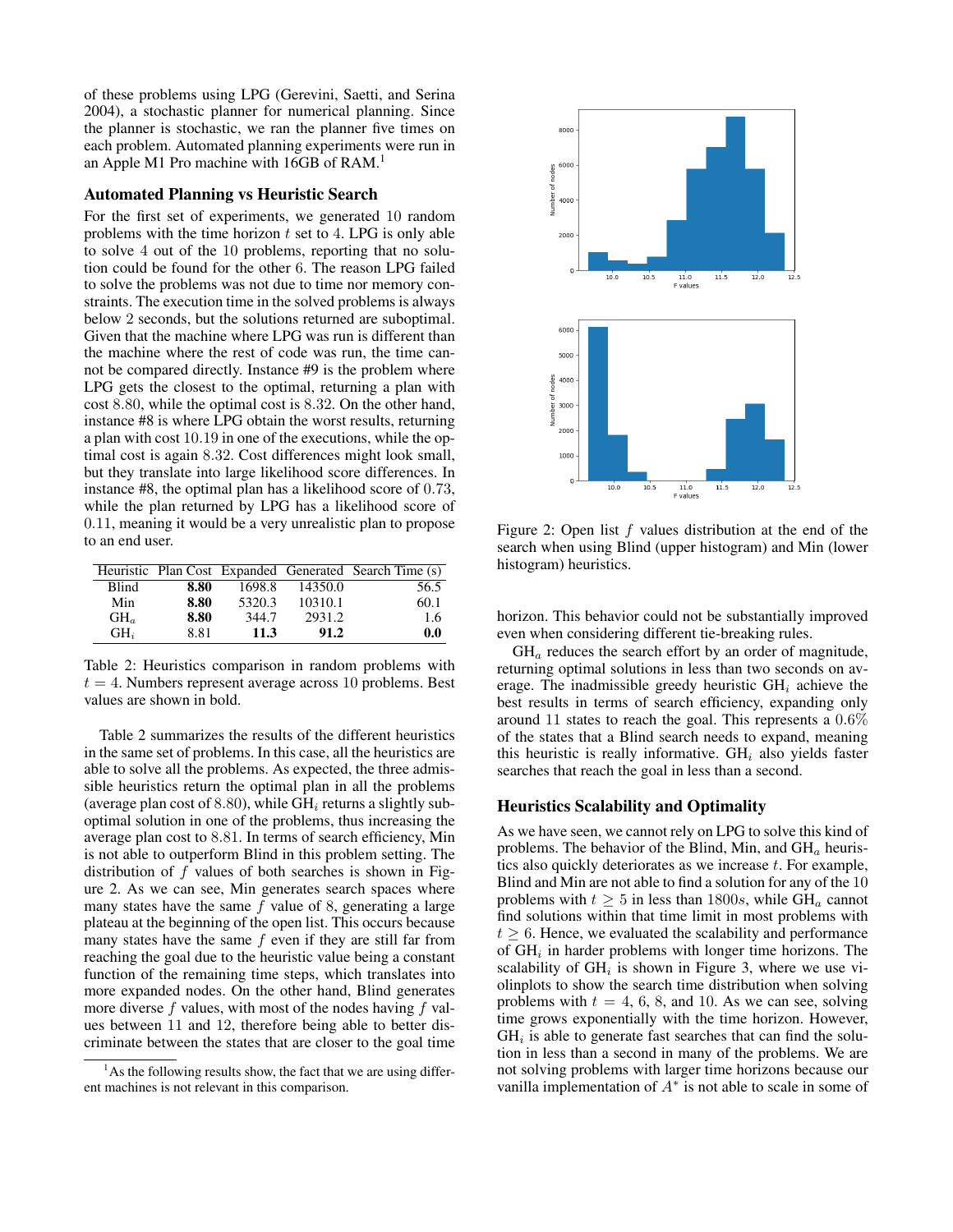of these problems using LPG (Gerevini, Saetti, and Serina 2004), a stochastic planner for numerical planning. Since the planner is stochastic, we ran the planner five times on each problem. Automated planning experiments were run in an Apple M1 Pro machine with 16GB of RAM.<sup>1</sup>

# Automated Planning vs Heuristic Search

For the first set of experiments, we generated 10 random problems with the time horizon  $t$  set to 4. LPG is only able to solve 4 out of the 10 problems, reporting that no solution could be found for the other 6. The reason LPG failed to solve the problems was not due to time nor memory constraints. The execution time in the solved problems is always below 2 seconds, but the solutions returned are suboptimal. Given that the machine where LPG was run is different than the machine where the rest of code was run, the time cannot be compared directly. Instance #9 is the problem where LPG gets the closest to the optimal, returning a plan with cost 8.80, while the optimal cost is 8.32. On the other hand, instance #8 is where LPG obtain the worst results, returning a plan with cost 10.19 in one of the executions, while the optimal cost is again 8.32. Cost differences might look small, but they translate into large likelihood score differences. In instance #8, the optimal plan has a likelihood score of 0.73, while the plan returned by LPG has a likelihood score of 0.11, meaning it would be a very unrealistic plan to propose to an end user.

|                   |      |        |         | Heuristic Plan Cost Expanded Generated Search Time (s) |
|-------------------|------|--------|---------|--------------------------------------------------------|
| Blind             | 8.80 | 1698.8 | 14350.0 | 56.5                                                   |
| Min               | 8.80 | 5320.3 | 10310.1 | 60.1                                                   |
| $GH$ <sub>a</sub> | 8.80 | 344.7  | 2931.2  | 1.6                                                    |
| $GH_i$            | 8.81 | 11.3   | 91.2    | 0.0                                                    |

Table 2: Heuristics comparison in random problems with  $t = 4$ . Numbers represent average across 10 problems. Best values are shown in bold.

Table 2 summarizes the results of the different heuristics in the same set of problems. In this case, all the heuristics are able to solve all the problems. As expected, the three admissible heuristics return the optimal plan in all the problems (average plan cost of 8.80), while  $GH_i$  returns a slightly suboptimal solution in one of the problems, thus increasing the average plan cost to 8.81. In terms of search efficiency, Min is not able to outperform Blind in this problem setting. The distribution of  $f$  values of both searches is shown in Figure 2. As we can see, Min generates search spaces where many states have the same  $f$  value of 8, generating a large plateau at the beginning of the open list. This occurs because many states have the same  $f$  even if they are still far from reaching the goal due to the heuristic value being a constant function of the remaining time steps, which translates into more expanded nodes. On the other hand, Blind generates more diverse  $f$  values, with most of the nodes having  $f$  values between 11 and 12, therefore being able to better discriminate between the states that are closer to the goal time



Figure 2: Open list  $f$  values distribution at the end of the search when using Blind (upper histogram) and Min (lower histogram) heuristics.

horizon. This behavior could not be substantially improved even when considering different tie-breaking rules.

 $GH<sub>a</sub>$  reduces the search effort by an order of magnitude, returning optimal solutions in less than two seconds on average. The inadmissible greedy heuristic  $GH_i$  achieve the best results in terms of search efficiency, expanding only around 11 states to reach the goal. This represents a 0.6% of the states that a Blind search needs to expand, meaning this heuristic is really informative.  $GH_i$  also yields faster searches that reach the goal in less than a second.

#### Heuristics Scalability and Optimality

As we have seen, we cannot rely on LPG to solve this kind of problems. The behavior of the Blind, Min, and  $GH<sub>a</sub>$  heuristics also quickly deteriorates as we increase  $t$ . For example, Blind and Min are not able to find a solution for any of the 10 problems with  $t \geq 5$  in less than 1800s, while GH<sub>a</sub> cannot find solutions within that time limit in most problems with  $t \geq 6$ . Hence, we evaluated the scalability and performance of  $GH_i$  in harder problems with longer time horizons. The scalability of  $GH_i$  is shown in Figure 3, where we use violinplots to show the search time distribution when solving problems with  $t = 4, 6, 8$ , and 10. As we can see, solving time grows exponentially with the time horizon. However,  $GH<sub>i</sub>$  is able to generate fast searches that can find the solution in less than a second in many of the problems. We are not solving problems with larger time horizons because our vanilla implementation of  $A^*$  is not able to scale in some of

 $<sup>1</sup>$ As the following results show, the fact that we are using differ-</sup> ent machines is not relevant in this comparison.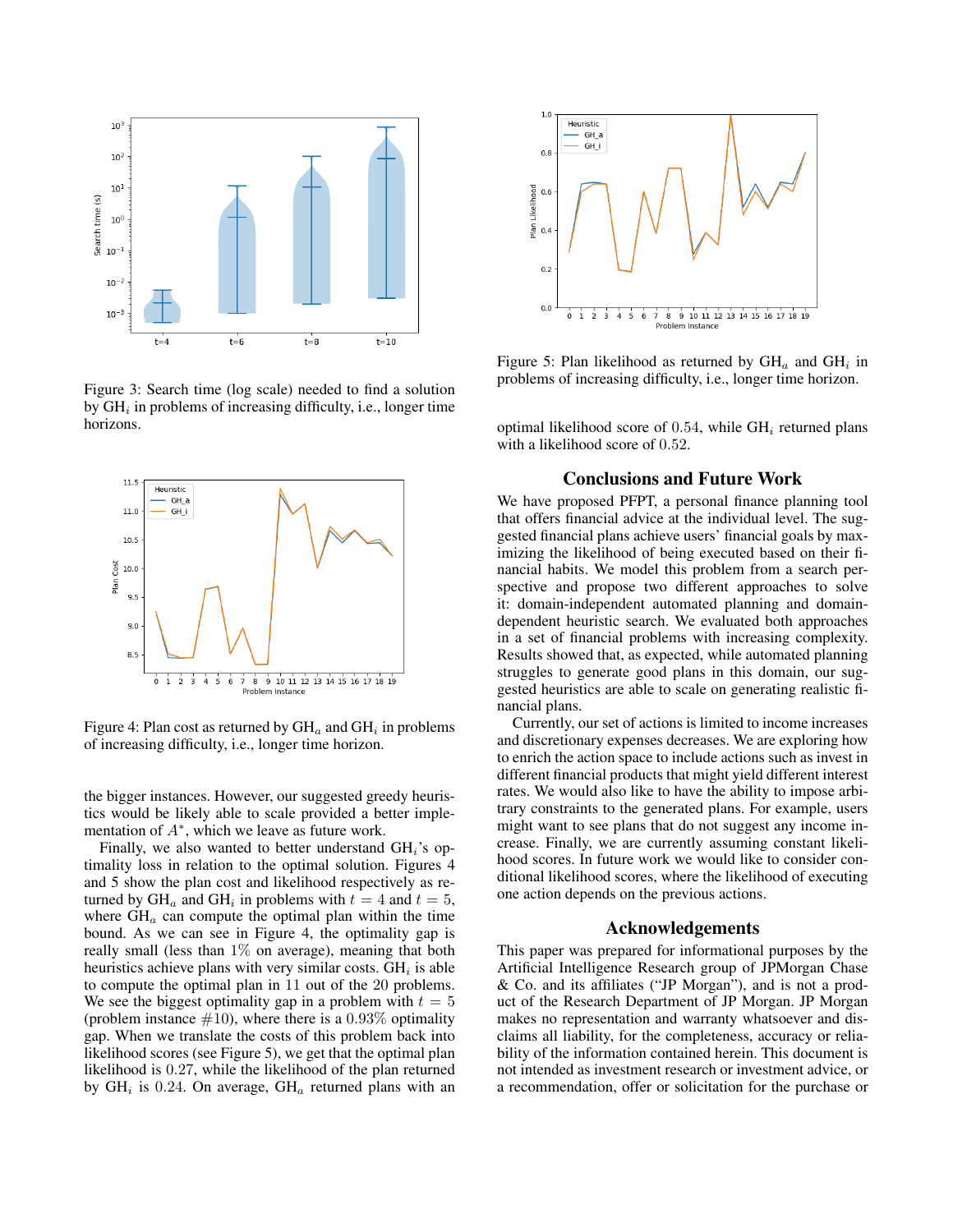

Figure 3: Search time (log scale) needed to find a solution by  $GH_i$  in problems of increasing difficulty, i.e., longer time horizons.



Figure 4: Plan cost as returned by  $\mathrm{GH}_a$  and  $\mathrm{GH}_i$  in problems of increasing difficulty, i.e., longer time horizon.

the bigger instances. However, our suggested greedy heuristics would be likely able to scale provided a better implementation of  $A^*$ , which we leave as future work.

Finally, we also wanted to better understand  $GH_i$ 's optimality loss in relation to the optimal solution. Figures 4 and 5 show the plan cost and likelihood respectively as returned by  $GH_a$  and  $GH_i$  in problems with  $t = 4$  and  $t = 5$ , where  $GH_a$  can compute the optimal plan within the time bound. As we can see in Figure 4, the optimality gap is really small (less than  $1\%$  on average), meaning that both heuristics achieve plans with very similar costs.  $GH_i$  is able to compute the optimal plan in 11 out of the 20 problems. We see the biggest optimality gap in a problem with  $t = 5$ (problem instance  $#10$ ), where there is a 0.93% optimality gap. When we translate the costs of this problem back into likelihood scores (see Figure 5), we get that the optimal plan likelihood is 0.27, while the likelihood of the plan returned by  $GH_i$  is 0.24. On average,  $GH_a$  returned plans with an



Figure 5: Plan likelihood as returned by  $GH<sub>a</sub>$  and  $GH<sub>i</sub>$  in problems of increasing difficulty, i.e., longer time horizon.

optimal likelihood score of 0.54, while  $GH_i$  returned plans with a likelihood score of 0.52.

# Conclusions and Future Work

We have proposed PFPT, a personal finance planning tool that offers financial advice at the individual level. The suggested financial plans achieve users' financial goals by maximizing the likelihood of being executed based on their financial habits. We model this problem from a search perspective and propose two different approaches to solve it: domain-independent automated planning and domaindependent heuristic search. We evaluated both approaches in a set of financial problems with increasing complexity. Results showed that, as expected, while automated planning struggles to generate good plans in this domain, our suggested heuristics are able to scale on generating realistic financial plans.

Currently, our set of actions is limited to income increases and discretionary expenses decreases. We are exploring how to enrich the action space to include actions such as invest in different financial products that might yield different interest rates. We would also like to have the ability to impose arbitrary constraints to the generated plans. For example, users might want to see plans that do not suggest any income increase. Finally, we are currently assuming constant likelihood scores. In future work we would like to consider conditional likelihood scores, where the likelihood of executing one action depends on the previous actions.

## Acknowledgements

This paper was prepared for informational purposes by the Artificial Intelligence Research group of JPMorgan Chase & Co. and its affiliates ("JP Morgan"), and is not a product of the Research Department of JP Morgan. JP Morgan makes no representation and warranty whatsoever and disclaims all liability, for the completeness, accuracy or reliability of the information contained herein. This document is not intended as investment research or investment advice, or a recommendation, offer or solicitation for the purchase or